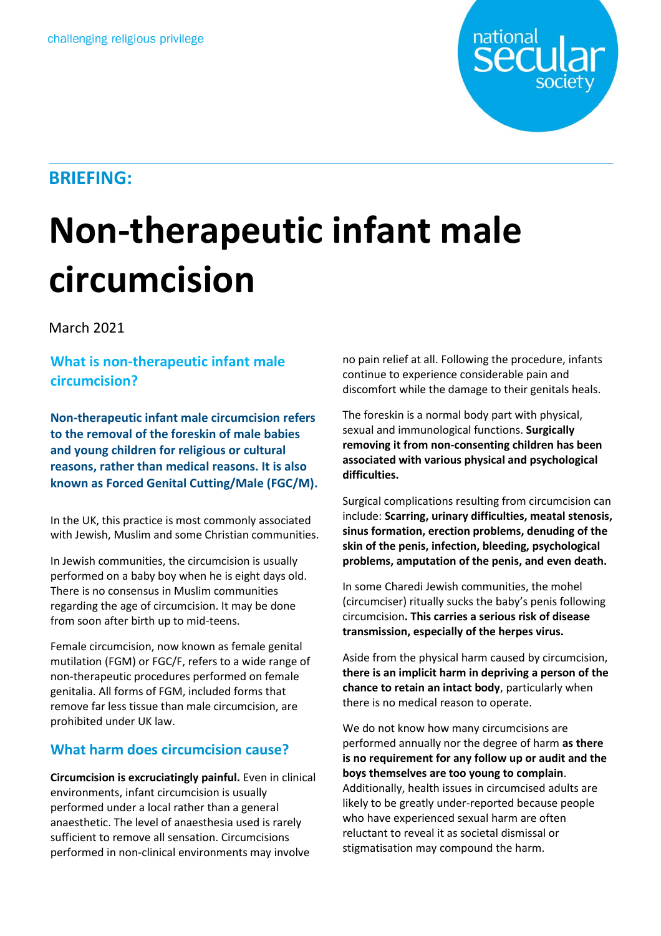

# **Non-therapeutic infant male circumcision**

March 2021

## **What is non-therapeutic infant male circumcision?**

**Non-therapeutic infant male circumcision refers to the removal of the foreskin of male babies**  This is the standfirst. and young children for religious or cultural **reasons, rather than medical reasons. It is also known as Forced Genital Cutting/Male (FGC/M).** This is the standfirst.

In the UK, this practice is most commonly associated with Jewish, Muslim and some Christian communities.

In Jewish communities, the circumcision is usually performed on a baby boy when he is eight days old. There is no consensus in Muslim communities regarding the age of circumcision. It may be done from soon after birth up to mid-teens.

Female circumcision, now known as female genital mutilation (FGM) or FGC/F, refers to a wide range of non-therapeutic procedures performed on female genitalia. All forms of FGM, included forms that remove far less tissue than male circumcision, are prohibited under UK law.

# **What harm does circumcision cause?**

**Circumcision is excruciatingly painful.** Even in clinical environments, infant circumcision is usually performed under a local rather than a general anaesthetic. The level of anaesthesia used is rarely sufficient to remove all sensation. Circumcisions performed in non-clinical environments may involve

no pain relief at all. Following the procedure, infants continue to experience considerable pain and discomfort while the damage to their genitals heals.

national

**Seci** 

The foreskin is a normal body part with physical, sexual and immunological functions. **Surgically removing it from non-consenting children has been associated with various physical and psychological difficulties.**

Surgical complications resulting from circumcision can include: **Scarring, urinary difficulties, meatal stenosis, sinus formation, erection problems, denuding of the skin of the penis, infection, bleeding, psychological problems, amputation of the penis, and even death.**

In some Charedi Jewish communities, the mohel (circumciser) ritually sucks the baby's penis following circumcision**. This carries a serious risk of disease transmission, especially of the herpes virus.**

Aside from the physical harm caused by circumcision, **there is an implicit harm in depriving a person of the chance to retain an intact body**, particularly when there is no medical reason to operate.

We do not know how many circumcisions are performed annually nor the degree of harm **as there is no requirement for any follow up or audit and the boys themselves are too young to complain**. Additionally, health issues in circumcised adults are likely to be greatly under-reported because people who have experienced sexual harm are often reluctant to reveal it as societal dismissal or stigmatisation may compound the harm.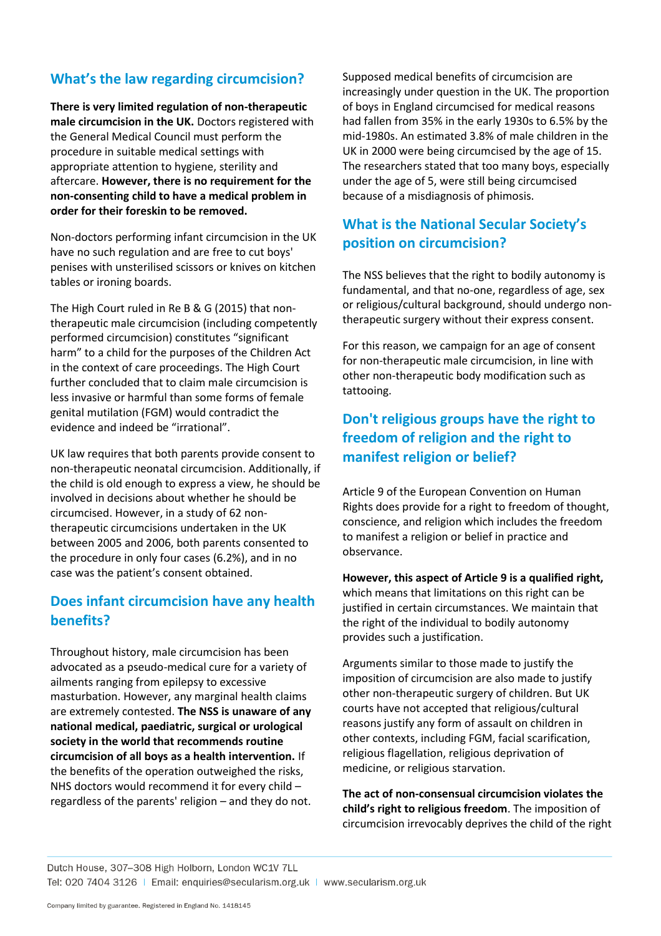## **What's the law regarding circumcision?**

**There is very limited regulation of non-therapeutic male circumcision in the UK.** Doctors registered with the General Medical Council must perform the procedure in suitable medical settings with appropriate attention to hygiene, sterility and aftercare. **However, there is no requirement for the non-consenting child to have a medical problem in order for their foreskin to be removed.**

Non-doctors performing infant circumcision in the UK have no such regulation and are free to cut boys' penises with unsterilised scissors or knives on kitchen tables or ironing boards.

The High Court ruled in Re B & G (2015) that nontherapeutic male circumcision (including competently performed circumcision) constitutes "significant harm" to a child for the purposes of the Children Act in the context of care proceedings. The High Court further concluded that to claim male circumcision is less invasive or harmful than some forms of female genital mutilation (FGM) would contradict the evidence and indeed be "irrational".

UK law requires that both parents provide consent to non-therapeutic neonatal circumcision. Additionally, if the child is old enough to express a view, he should be involved in decisions about whether he should be circumcised. However, in a study of 62 nontherapeutic circumcisions undertaken in the UK between 2005 and 2006, both parents consented to the procedure in only four cases (6.2%), and in no case was the patient's consent obtained.

#### **Does infant circumcision have any health benefits?**

Throughout history, male circumcision has been advocated as a pseudo-medical cure for a variety of ailments ranging from epilepsy to excessive masturbation. However, any marginal health claims are extremely contested. **The NSS is unaware of any national medical, paediatric, surgical or urological society in the world that recommends routine circumcision of all boys as a health intervention.** If the benefits of the operation outweighed the risks, NHS doctors would recommend it for every child – regardless of the parents' religion – and they do not.

Supposed medical benefits of circumcision are increasingly under question in the UK. The proportion of boys in England circumcised for medical reasons had fallen from 35% in the early 1930s to 6.5% by the mid-1980s. An estimated 3.8% of male children in the UK in 2000 were being circumcised by the age of 15. The researchers stated that too many boys, especially under the age of 5, were still being circumcised because of a misdiagnosis of phimosis.

# **What is the National Secular Society's position on circumcision?**

The NSS believes that the right to bodily autonomy is fundamental, and that no-one, regardless of age, sex or religious/cultural background, should undergo nontherapeutic surgery without their express consent.

For this reason, we campaign for an age of consent for non-therapeutic male circumcision, in line with other non-therapeutic body modification such as tattooing.

## **Don't religious groups have the right to freedom of religion and the right to manifest religion or belief?**

Article 9 of the European Convention on Human Rights does provide for a right to freedom of thought, conscience, and religion which includes the freedom to manifest a religion or belief in practice and observance.

**However, this aspect of Article 9 is a qualified right,** which means that limitations on this right can be justified in certain circumstances. We maintain that the right of the individual to bodily autonomy provides such a justification.

Arguments similar to those made to justify the imposition of circumcision are also made to justify other non-therapeutic surgery of children. But UK courts have not accepted that religious/cultural reasons justify any form of assault on children in other contexts, including FGM, facial scarification, religious flagellation, religious deprivation of medicine, or religious starvation.

**The act of non-consensual circumcision violates the child's right to religious freedom**. The imposition of circumcision irrevocably deprives the child of the right